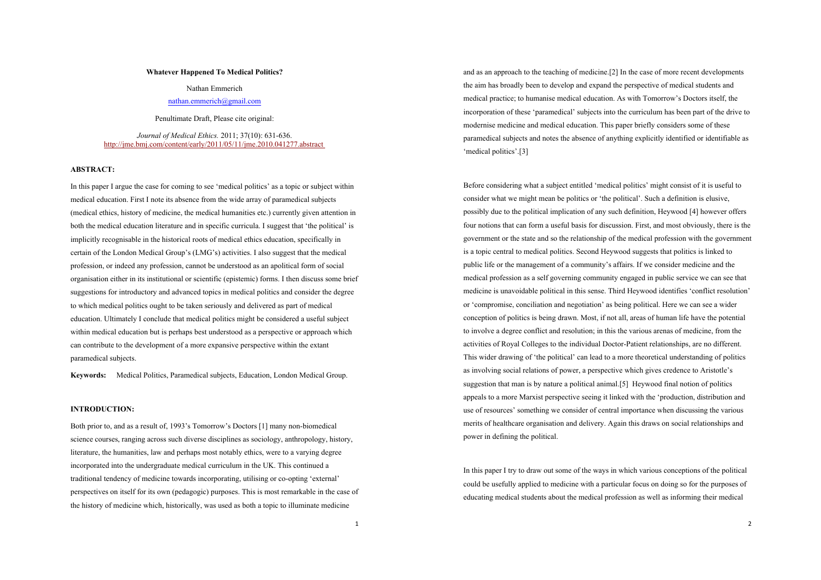## **Whatever Happened To Medical Politics?**

Nathan Emmerich

# nathan.emmerich@gmail.com

Penultimate Draft, Please cite original:

*Journal of Medical Ethics.* 2011; 37(10): 631-636. http://jme.bmj.com/content/early/2011/05/11/jme.2010.041277.abstract

## **ABSTRACT:**

In this paper I argue the case for coming to see 'medical politics' as a topic or subject within medical education. First I note its absence from the wide array of paramedical subjects (medical ethics, history of medicine, the medical humanities etc.) currently given attention in both the medical education literature and in specific curricula. I suggest that 'the political' is implicitly recognisable in the historical roots of medical ethics education, specifically in certain of the London Medical Group's (LMG's) activities. I also suggest that the medical profession, or indeed any profession, cannot be understood as an apolitical form of social organisation either in its institutional or scientific (epistemic) forms. I then discuss some brief suggestions for introductory and advanced topics in medical politics and consider the degree to which medical politics ought to be taken seriously and delivered as part of medical education. Ultimately I conclude that medical politics might be considered a useful subject within medical education but is perhaps best understood as a perspective or approach which can contribute to the development of a more expansive perspective within the extant paramedical subjects.

**Keywords:** Medical Politics, Paramedical subjects, Education, London Medical Group.

## **INTRODUCTION:**

Both prior to, and as a result of, 1993's Tomorrow's Doctors [1] many non-biomedical science courses, ranging across such diverse disciplines as sociology, anthropology, history, literature, the humanities, law and perhaps most notably ethics, were to a varying degree incorporated into the undergraduate medical curriculum in the UK. This continued a traditional tendency of medicine towards incorporating, utilising or co-opting 'external' perspectives on itself for its own (pedagogic) purposes. This is most remarkable in the case of the history of medicine which, historically, was used as both a topic to illuminate medicine

and as an approach to the teaching of medicine.[2] In the case of more recent developments the aim has broadly been to develop and expand the perspective of medical students and medical practice; to humanise medical education. As with Tomorrow's Doctors itself, the incorporation of these 'paramedical' subjects into the curriculum has been part of the drive to modernise medicine and medical education. This paper briefly considers some of these paramedical subjects and notes the absence of anything explicitly identified or identifiable as 'medical politics'.[3]

Before considering what a subject entitled 'medical politics' might consist of it is useful to consider what we might mean be politics or 'the political'. Such a definition is elusive, possibly due to the political implication of any such definition, Heywood [4] however offers four notions that can form a useful basis for discussion. First, and most obviously, there is the government or the state and so the relationship of the medical profession with the government is a topic central to medical politics. Second Heywood suggests that politics is linked to public life or the management of a community's affairs. If we consider medicine and the medical profession as a self governing community engaged in public service we can see that medicine is unavoidable political in this sense. Third Heywood identifies 'conflict resolution' or 'compromise, conciliation and negotiation' as being political. Here we can see a wider conception of politics is being drawn. Most, if not all, areas of human life have the potential to involve a degree conflict and resolution; in this the various arenas of medicine, from the activities of Royal Colleges to the individual Doctor-Patient relationships, are no different. This wider drawing of 'the political' can lead to a more theoretical understanding of politics as involving social relations of power, a perspective which gives credence to Aristotle's suggestion that man is by nature a political animal.[5] Heywood final notion of politics appeals to a more Marxist perspective seeing it linked with the 'production, distribution and use of resources' something we consider of central importance when discussing the various merits of healthcare organisation and delivery. Again this draws on social relationships and power in defining the political.

In this paper I try to draw out some of the ways in which various conceptions of the political could be usefully applied to medicine with a particular focus on doing so for the purposes of educating medical students about the medical profession as well as informing their medical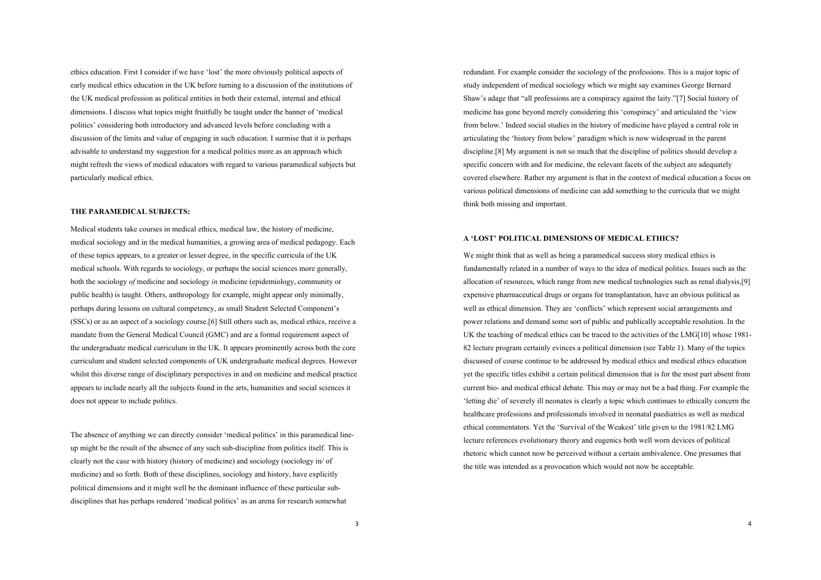ethics education. First I consider if we have 'lost' the more obviously political aspects of early medical ethics education in the UK before turning to a discussion of the institutions of the UK medical profession as political entities in both their external, internal and ethical dimensions. I discuss what topics might fruitfully be taught under the banner of 'medical politics' considering both introductory and advanced levels before concluding with a discussion of the limits and value of engaging in such education. I surmise that it is perhaps advisable to understand my suggestion for a medical politics more as an approach which might refresh the views of medical educators with regard to various paramedical subjects but particularly medical ethics.

# **THE PARAMEDICAL SUBJECTS:**

Medical students take courses in medical ethics, medical law, the history of medicine, medical sociology and in the medical humanities, a growing area of medical pedagogy. Each of these topics appears, to a greater or lesser degree, in the specific curricula of the UK medical schools. With regards to sociology, or perhaps the social sciences more generally, both the sociology *of* medicine and sociology *in* medicine (epidemiology, community or public health) is taught. Others, anthropology for example, might appear only minimally, perhaps during lessons on cultural competency, as small Student Selected Component's (SSCs) or as an aspect of a sociology course.[6] Still others such as, medical ethics, receive a mandate from the General Medical Council (GMC) and are a formal requirement aspect of the undergraduate medical curriculum in the UK. It appears prominently across both the core curriculum and student selected components of UK undergraduate medical degrees. However whilst this diverse range of disciplinary perspectives in and on medicine and medical practice appears to include nearly all the subjects found in the arts, humanities and social sciences it does not appear to include politics.

The absence of anything we can directly consider 'medical politics' in this paramedical lineup might be the result of the absence of any such sub-discipline from politics itself. This is clearly not the case with history (history of medicine) and sociology (sociology in/ of medicine) and so forth. Both of these disciplines, sociology and history, have explicitly political dimensions and it might well be the dominant influence of these particular subdisciplines that has perhaps rendered 'medical politics' as an arena for research somewhat

redundant. For example consider the sociology of the professions. This is a major topic of study independent of medical sociology which we might say examines George Bernard Shaw's adage that "all professions are a conspiracy against the laity."[7] Social history of medicine has gone beyond merely considering this 'conspiracy' and articulated the 'view from below.' Indeed social studies in the history of medicine have played a central role in articulating the 'history from below' paradigm which is now widespread in the parent discipline.[8] My argument is not so much that the discipline of politics should develop a specific concern with and for medicine, the relevant facets of the subject are adequately covered elsewhere. Rather my argument is that in the context of medical education a focus on various political dimensions of medicine can add something to the curricula that we might think both missing and important.

#### **A 'LOST' POLITICAL DIMENSIONS OF MEDICAL ETHICS?**

We might think that as well as being a paramedical success story medical ethics is fundamentally related in a number of ways to the idea of medical politics. Issues such as the allocation of resources, which range from new medical technologies such as renal dialysis,[9] expensive pharmaceutical drugs or organs for transplantation, have an obvious political as well as ethical dimension. They are 'conflicts' which represent social arrangements and power relations and demand some sort of public and publically acceptable resolution. In the UK the teaching of medical ethics can be traced to the activities of the LMG[10] whose 1981- 82 lecture program certainly evinces a political dimension (see Table 1). Many of the topics discussed of course continue to be addressed by medical ethics and medical ethics education yet the specific titles exhibit a certain political dimension that is for the most part absent from current bio- and medical ethical debate. This may or may not be a bad thing. For example the 'letting die' of severely ill neonates is clearly a topic which continues to ethically concern the healthcare professions and professionals involved in neonatal paediatrics as well as medical ethical commentators. Yet the 'Survival of the Weakest' title given to the 1981/82 LMG lecture references evolutionary theory and eugenics both well worn devices of political rhetoric which cannot now be perceived without a certain ambivalence. One presumes that the title was intended as a provocation which would not now be acceptable.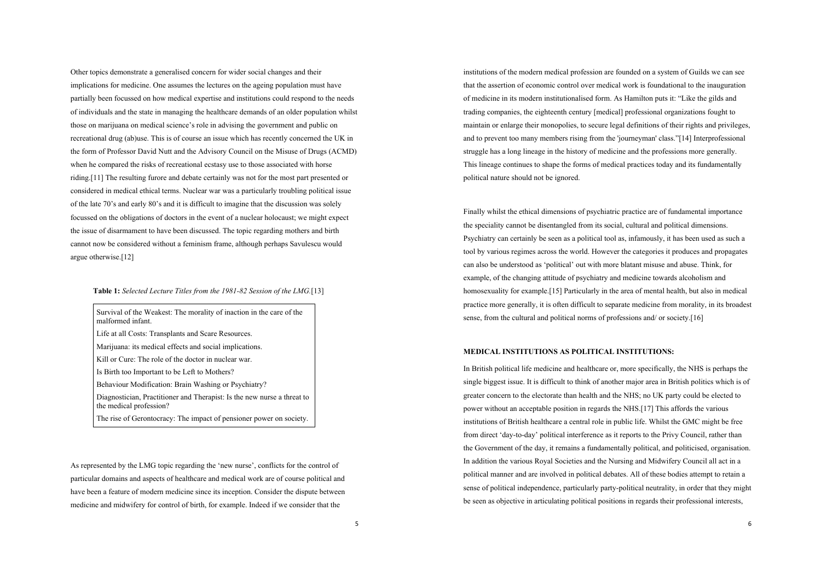Other topics demonstrate a generalised concern for wider social changes and their implications for medicine. One assumes the lectures on the ageing population must have partially been focussed on how medical expertise and institutions could respond to the needs of individuals and the state in managing the healthcare demands of an older population whilst those on marijuana on medical science's role in advising the government and public on recreational drug (ab)use. This is of course an issue which has recently concerned the UK in the form of Professor David Nutt and the Advisory Council on the Misuse of Drugs (ACMD) when he compared the risks of recreational ecstasy use to those associated with horse riding.[11] The resulting furore and debate certainly was not for the most part presented or considered in medical ethical terms. Nuclear war was a particularly troubling political issue of the late 70's and early 80's and it is difficult to imagine that the discussion was solely focussed on the obligations of doctors in the event of a nuclear holocaust; we might expect the issue of disarmament to have been discussed. The topic regarding mothers and birth cannot now be considered without a feminism frame, although perhaps Savulescu would argue otherwise.[12]

# **Table 1:** *Selected Lecture Titles from the 1981-82 Session of the LMG.*[13]

Survival of the Weakest: The morality of inaction in the care of the malformed infant.

Life at all Costs: Transplants and Scare Resources.

Marijuana: its medical effects and social implications.

Kill or Cure: The role of the doctor in nuclear war.

Is Birth too Important to be Left to Mothers?

Behaviour Modification: Brain Washing or Psychiatry?

Diagnostician, Practitioner and Therapist: Is the new nurse a threat to the medical profession?

The rise of Gerontocracy: The impact of pensioner power on society.

As represented by the LMG topic regarding the 'new nurse', conflicts for the control of particular domains and aspects of healthcare and medical work are of course political and have been a feature of modern medicine since its inception. Consider the dispute between medicine and midwifery for control of birth, for example. Indeed if we consider that the

institutions of the modern medical profession are founded on a system of Guilds we can see that the assertion of economic control over medical work is foundational to the inauguration of medicine in its modern institutionalised form. As Hamilton puts it: "Like the gilds and trading companies, the eighteenth century [medical] professional organizations fought to maintain or enlarge their monopolies, to secure legal definitions of their rights and privileges, and to prevent too many members rising from the 'journeyman' class."[14] Interprofessional struggle has a long lineage in the history of medicine and the professions more generally. This lineage continues to shape the forms of medical practices today and its fundamentally political nature should not be ignored.

Finally whilst the ethical dimensions of psychiatric practice are of fundamental importance the speciality cannot be disentangled from its social, cultural and political dimensions. Psychiatry can certainly be seen as a political tool as, infamously, it has been used as such a tool by various regimes across the world. However the categories it produces and propagates can also be understood as 'political' out with more blatant misuse and abuse. Think, for example, of the changing attitude of psychiatry and medicine towards alcoholism and homosexuality for example.[15] Particularly in the area of mental health, but also in medical practice more generally, it is often difficult to separate medicine from morality, in its broadest sense, from the cultural and political norms of professions and/ or society.[16]

### **MEDICAL INSTITUTIONS AS POLITICAL INSTITUTIONS:**

In British political life medicine and healthcare or, more specifically, the NHS is perhaps the single biggest issue. It is difficult to think of another major area in British politics which is of greater concern to the electorate than health and the NHS; no UK party could be elected to power without an acceptable position in regards the NHS.[17] This affords the various institutions of British healthcare a central role in public life. Whilst the GMC might be free from direct 'day-to-day' political interference as it reports to the Privy Council, rather than the Government of the day, it remains a fundamentally political, and politicised, organisation. In addition the various Royal Societies and the Nursing and Midwifery Council all act in a political manner and are involved in political debates. All of these bodies attempt to retain a sense of political independence, particularly party-political neutrality, in order that they might be seen as objective in articulating political positions in regards their professional interests,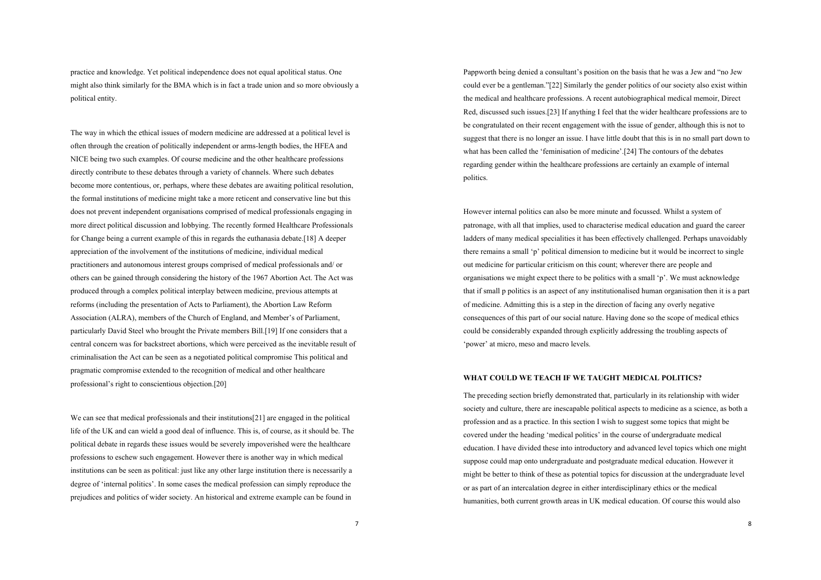practice and knowledge. Yet political independence does not equal apolitical status. One might also think similarly for the BMA which is in fact a trade union and so more obviously a political entity.

The way in which the ethical issues of modern medicine are addressed at a political level is often through the creation of politically independent or arms-length bodies, the HFEA and NICE being two such examples. Of course medicine and the other healthcare professions directly contribute to these debates through a variety of channels. Where such debates become more contentious, or, perhaps, where these debates are awaiting political resolution, the formal institutions of medicine might take a more reticent and conservative line but this does not prevent independent organisations comprised of medical professionals engaging in more direct political discussion and lobbying. The recently formed Healthcare Professionals for Change being a current example of this in regards the euthanasia debate.[18] A deeper appreciation of the involvement of the institutions of medicine, individual medical practitioners and autonomous interest groups comprised of medical professionals and/ or others can be gained through considering the history of the 1967 Abortion Act. The Act was produced through a complex political interplay between medicine, previous attempts at reforms (including the presentation of Acts to Parliament), the Abortion Law Reform Association (ALRA), members of the Church of England, and Member's of Parliament, particularly David Steel who brought the Private members Bill.[19] If one considers that a central concern was for backstreet abortions, which were perceived as the inevitable result of criminalisation the Act can be seen as a negotiated political compromise This political and pragmatic compromise extended to the recognition of medical and other healthcare professional's right to conscientious objection.[20]

We can see that medical professionals and their institutions[21] are engaged in the political life of the UK and can wield a good deal of influence. This is, of course, as it should be. The political debate in regards these issues would be severely impoverished were the healthcare professions to eschew such engagement. However there is another way in which medical institutions can be seen as political: just like any other large institution there is necessarily a degree of 'internal politics'. In some cases the medical profession can simply reproduce the prejudices and politics of wider society. An historical and extreme example can be found in

Pappworth being denied a consultant's position on the basis that he was a Jew and "no Jew could ever be a gentleman."[22] Similarly the gender politics of our society also exist within the medical and healthcare professions. A recent autobiographical medical memoir, Direct Red, discussed such issues.[23] If anything I feel that the wider healthcare professions are to be congratulated on their recent engagement with the issue of gender, although this is not to suggest that there is no longer an issue. I have little doubt that this is in no small part down to what has been called the 'feminisation of medicine'.[24] The contours of the debates regarding gender within the healthcare professions are certainly an example of internal politics.

However internal politics can also be more minute and focussed. Whilst a system of patronage, with all that implies, used to characterise medical education and guard the career ladders of many medical specialities it has been effectively challenged. Perhaps unavoidably there remains a small 'p' political dimension to medicine but it would be incorrect to single out medicine for particular criticism on this count; wherever there are people and organisations we might expect there to be politics with a small 'p'. We must acknowledge that if small p politics is an aspect of any institutionalised human organisation then it is a part of medicine. Admitting this is a step in the direction of facing any overly negative consequences of this part of our social nature. Having done so the scope of medical ethics could be considerably expanded through explicitly addressing the troubling aspects of 'power' at micro, meso and macro levels.

# **WHAT COULD WE TEACH IF WE TAUGHT MEDICAL POLITICS?**

The preceding section briefly demonstrated that, particularly in its relationship with wider society and culture, there are inescapable political aspects to medicine as a science, as both a profession and as a practice. In this section I wish to suggest some topics that might be covered under the heading 'medical politics' in the course of undergraduate medical education. I have divided these into introductory and advanced level topics which one might suppose could map onto undergraduate and postgraduate medical education. However it might be better to think of these as potential topics for discussion at the undergraduate level or as part of an intercalation degree in either interdisciplinary ethics or the medical humanities, both current growth areas in UK medical education. Of course this would also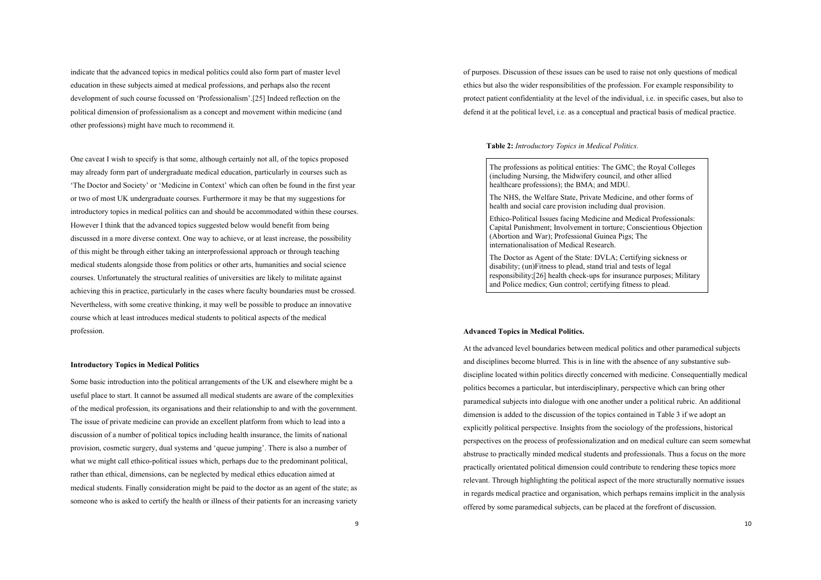indicate that the advanced topics in medical politics could also form part of master level education in these subjects aimed at medical professions, and perhaps also the recent development of such course focussed on 'Professionalism'.[25] Indeed reflection on the political dimension of professionalism as a concept and movement within medicine (and other professions) might have much to recommend it.

One caveat I wish to specify is that some, although certainly not all, of the topics proposed may already form part of undergraduate medical education, particularly in courses such as 'The Doctor and Society' or 'Medicine in Context' which can often be found in the first year or two of most UK undergraduate courses. Furthermore it may be that my suggestions for introductory topics in medical politics can and should be accommodated within these courses. However I think that the advanced topics suggested below would benefit from being discussed in a more diverse context. One way to achieve, or at least increase, the possibility of this might be through either taking an interprofessional approach or through teaching medical students alongside those from politics or other arts, humanities and social science courses. Unfortunately the structural realities of universities are likely to militate against achieving this in practice, particularly in the cases where faculty boundaries must be crossed. Nevertheless, with some creative thinking, it may well be possible to produce an innovative course which at least introduces medical students to political aspects of the medical profession.

#### **Introductory Topics in Medical Politics**

Some basic introduction into the political arrangements of the UK and elsewhere might be a useful place to start. It cannot be assumed all medical students are aware of the complexities of the medical profession, its organisations and their relationship to and with the government. The issue of private medicine can provide an excellent platform from which to lead into a discussion of a number of political topics including health insurance, the limits of national provision, cosmetic surgery, dual systems and 'queue jumping'. There is also a number of what we might call ethico-political issues which, perhaps due to the predominant political, rather than ethical, dimensions, can be neglected by medical ethics education aimed at medical students. Finally consideration might be paid to the doctor as an agent of the state; as someone who is asked to certify the health or illness of their patients for an increasing variety

of purposes. Discussion of these issues can be used to raise not only questions of medical ethics but also the wider responsibilities of the profession. For example responsibility to protect patient confidentiality at the level of the individual, i.e. in specific cases, but also to defend it at the political level, i.e. as a conceptual and practical basis of medical practice.

#### **Table 2:** *Introductory Topics in Medical Politics.*

The professions as political entities: The GMC; the Royal Colleges (including Nursing, the Midwifery council, and other allied healthcare professions); the BMA; and MDU.

The NHS, the Welfare State, Private Medicine, and other forms of health and social care provision including dual provision.

Ethico-Political Issues facing Medicine and Medical Professionals: Capital Punishment; Involvement in torture; Conscientious Objection (Abortion and War); Professional Guinea Pigs; The internationalisation of Medical Research.

The Doctor as Agent of the State: DVLA; Certifying sickness or disability; (un)Fitness to plead, stand trial and tests of legal responsibility;[26] health check-ups for insurance purposes; Military and Police medics; Gun control; certifying fitness to plead.

## **Advanced Topics in Medical Politics.**

At the advanced level boundaries between medical politics and other paramedical subjects and disciplines become blurred. This is in line with the absence of any substantive subdiscipline located within politics directly concerned with medicine. Consequentially medical politics becomes a particular, but interdisciplinary, perspective which can bring other paramedical subjects into dialogue with one another under a political rubric. An additional dimension is added to the discussion of the topics contained in Table 3 if we adopt an explicitly political perspective. Insights from the sociology of the professions, historical perspectives on the process of professionalization and on medical culture can seem somewhat abstruse to practically minded medical students and professionals. Thus a focus on the more practically orientated political dimension could contribute to rendering these topics more relevant. Through highlighting the political aspect of the more structurally normative issues in regards medical practice and organisation, which perhaps remains implicit in the analysis offered by some paramedical subjects, can be placed at the forefront of discussion.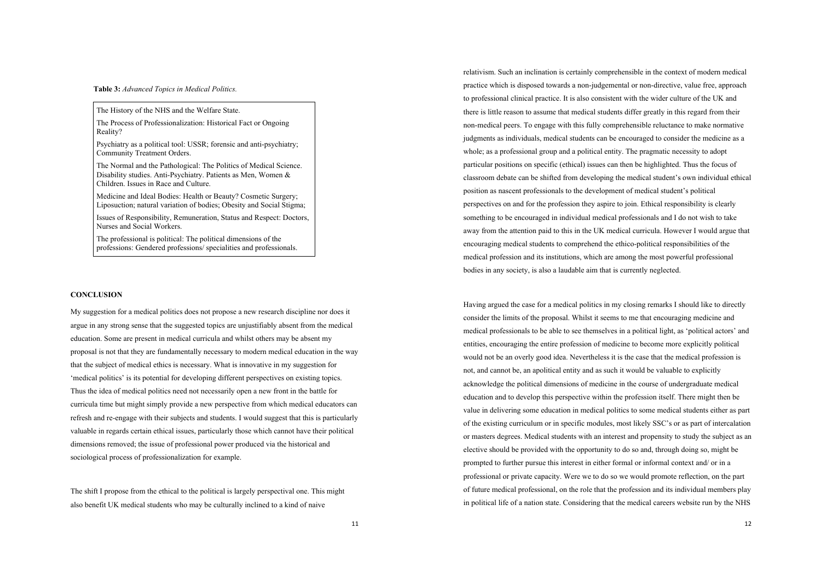## **Table 3:** *Advanced Topics in Medical Politics.*

The History of the NHS and the Welfare State.

The Process of Professionalization: Historical Fact or Ongoing Reality?

Psychiatry as a political tool: USSR; forensic and anti-psychiatry; Community Treatment Orders.

The Normal and the Pathological: The Politics of Medical Science. Disability studies. Anti-Psychiatry. Patients as Men, Women & Children. Issues in Race and Culture.

Medicine and Ideal Bodies: Health or Beauty? Cosmetic Surgery; Liposuction; natural variation of bodies; Obesity and Social Stigma;

Issues of Responsibility, Remuneration, Status and Respect: Doctors, Nurses and Social Workers.

The professional is political: The political dimensions of the professions: Gendered professions/ specialities and professionals.

## **CONCLUSION**

My suggestion for a medical politics does not propose a new research discipline nor does it argue in any strong sense that the suggested topics are unjustifiably absent from the medical education. Some are present in medical curricula and whilst others may be absent my proposal is not that they are fundamentally necessary to modern medical education in the way that the subject of medical ethics is necessary. What is innovative in my suggestion for 'medical politics' is its potential for developing different perspectives on existing topics. Thus the idea of medical politics need not necessarily open a new front in the battle for curricula time but might simply provide a new perspective from which medical educators can refresh and re-engage with their subjects and students. I would suggest that this is particularly valuable in regards certain ethical issues, particularly those which cannot have their political dimensions removed; the issue of professional power produced via the historical and sociological process of professionalization for example.

The shift I propose from the ethical to the political is largely perspectival one. This might also benefit UK medical students who may be culturally inclined to a kind of naive

relativism. Such an inclination is certainly comprehensible in the context of modern medical practice which is disposed towards a non-judgemental or non-directive, value free, approach to professional clinical practice. It is also consistent with the wider culture of the UK and there is little reason to assume that medical students differ greatly in this regard from their non-medical peers. To engage with this fully comprehensible reluctance to make normative judgments as individuals, medical students can be encouraged to consider the medicine as a whole; as a professional group and a political entity. The pragmatic necessity to adopt particular positions on specific (ethical) issues can then be highlighted. Thus the focus of classroom debate can be shifted from developing the medical student's own individual ethical position as nascent professionals to the development of medical student's political perspectives on and for the profession they aspire to join. Ethical responsibility is clearly something to be encouraged in individual medical professionals and I do not wish to take away from the attention paid to this in the UK medical curricula. However I would argue that encouraging medical students to comprehend the ethico-political responsibilities of the medical profession and its institutions, which are among the most powerful professional bodies in any society, is also a laudable aim that is currently neglected.

Having argued the case for a medical politics in my closing remarks I should like to directly consider the limits of the proposal. Whilst it seems to me that encouraging medicine and medical professionals to be able to see themselves in a political light, as 'political actors' and entities, encouraging the entire profession of medicine to become more explicitly political would not be an overly good idea. Nevertheless it is the case that the medical profession is not, and cannot be, an apolitical entity and as such it would be valuable to explicitly acknowledge the political dimensions of medicine in the course of undergraduate medical education and to develop this perspective within the profession itself. There might then be value in delivering some education in medical politics to some medical students either as part of the existing curriculum or in specific modules, most likely SSC's or as part of intercalation or masters degrees. Medical students with an interest and propensity to study the subject as an elective should be provided with the opportunity to do so and, through doing so, might be prompted to further pursue this interest in either formal or informal context and/ or in a professional or private capacity. Were we to do so we would promote reflection, on the part of future medical professional, on the role that the profession and its individual members play in political life of a nation state. Considering that the medical careers website run by the NHS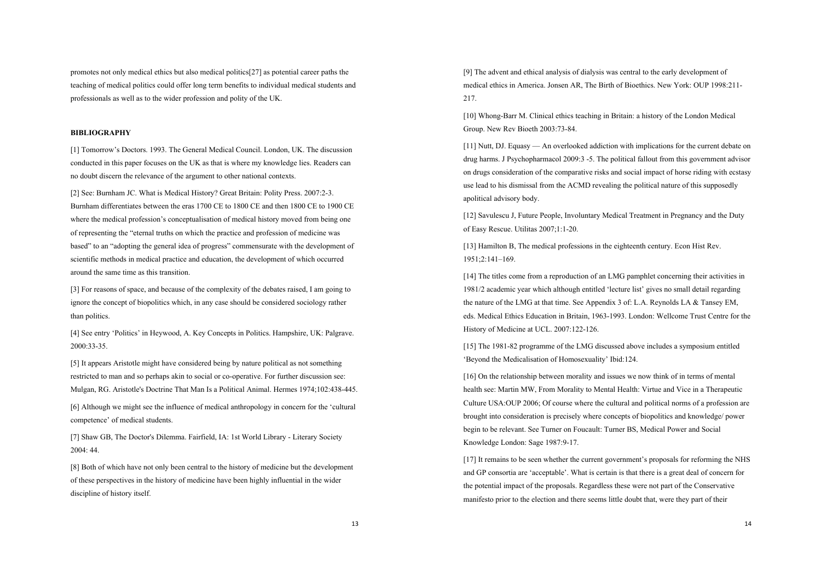promotes not only medical ethics but also medical politics[27] as potential career paths the teaching of medical politics could offer long term benefits to individual medical students and professionals as well as to the wider profession and polity of the UK.

# **BIBLIOGRAPHY**

[1] Tomorrow's Doctors. 1993. The General Medical Council. London, UK. The discussion conducted in this paper focuses on the UK as that is where my knowledge lies. Readers can no doubt discern the relevance of the argument to other national contexts.

[2] See: Burnham JC. What is Medical History? Great Britain: Polity Press. 2007:2-3. Burnham differentiates between the eras 1700 CE to 1800 CE and then 1800 CE to 1900 CE where the medical profession's conceptualisation of medical history moved from being one of representing the "eternal truths on which the practice and profession of medicine was based" to an "adopting the general idea of progress" commensurate with the development of scientific methods in medical practice and education, the development of which occurred around the same time as this transition.

[3] For reasons of space, and because of the complexity of the debates raised, I am going to ignore the concept of biopolitics which, in any case should be considered sociology rather than politics.

[4] See entry 'Politics' in Heywood, A. Key Concepts in Politics. Hampshire, UK: Palgrave. 2000:33-35.

[5] It appears Aristotle might have considered being by nature political as not something restricted to man and so perhaps akin to social or co-operative. For further discussion see: Mulgan, RG. Aristotle's Doctrine That Man Is a Political Animal. Hermes 1974;102:438-445.

[6] Although we might see the influence of medical anthropology in concern for the 'cultural competence' of medical students.

[7] Shaw GB, The Doctor's Dilemma. Fairfield, IA: 1st World Library - Literary Society 2004: 44.

[8] Both of which have not only been central to the history of medicine but the development of these perspectives in the history of medicine have been highly influential in the wider discipline of history itself.

[9] The advent and ethical analysis of dialysis was central to the early development of medical ethics in America. Jonsen AR, The Birth of Bioethics. New York: OUP 1998:211- 217.

[10] Whong-Barr M. Clinical ethics teaching in Britain: a history of the London Medical Group. New Rev Bioeth 2003:73-84.

[11] Nutt, DJ. Equasy — An overlooked addiction with implications for the current debate on drug harms. J Psychopharmacol 2009:3 -5. The political fallout from this government advisor on drugs consideration of the comparative risks and social impact of horse riding with ecstasy use lead to his dismissal from the ACMD revealing the political nature of this supposedly apolitical advisory body.

[12] Savulescu J, Future People, Involuntary Medical Treatment in Pregnancy and the Duty of Easy Rescue. Utilitas 2007;1:1-20.

[13] Hamilton B, The medical professions in the eighteenth century. Econ Hist Rev. 1951;2:141–169.

[14] The titles come from a reproduction of an LMG pamphlet concerning their activities in 1981/2 academic year which although entitled 'lecture list' gives no small detail regarding the nature of the LMG at that time. See Appendix 3 of: L.A. Reynolds LA & Tansey EM, eds. Medical Ethics Education in Britain, 1963-1993. London: Wellcome Trust Centre for the History of Medicine at UCL. 2007:122-126.

[15] The 1981-82 programme of the LMG discussed above includes a symposium entitled 'Beyond the Medicalisation of Homosexuality' Ibid:124.

[16] On the relationship between morality and issues we now think of in terms of mental health see: Martin MW, From Morality to Mental Health: Virtue and Vice in a Therapeutic Culture USA:OUP 2006; Of course where the cultural and political norms of a profession are brought into consideration is precisely where concepts of biopolitics and knowledge/ power begin to be relevant. See Turner on Foucault: Turner BS, Medical Power and Social Knowledge London: Sage 1987:9-17.

[17] It remains to be seen whether the current government's proposals for reforming the NHS and GP consortia are 'acceptable'. What is certain is that there is a great deal of concern for the potential impact of the proposals. Regardless these were not part of the Conservative manifesto prior to the election and there seems little doubt that, were they part of their